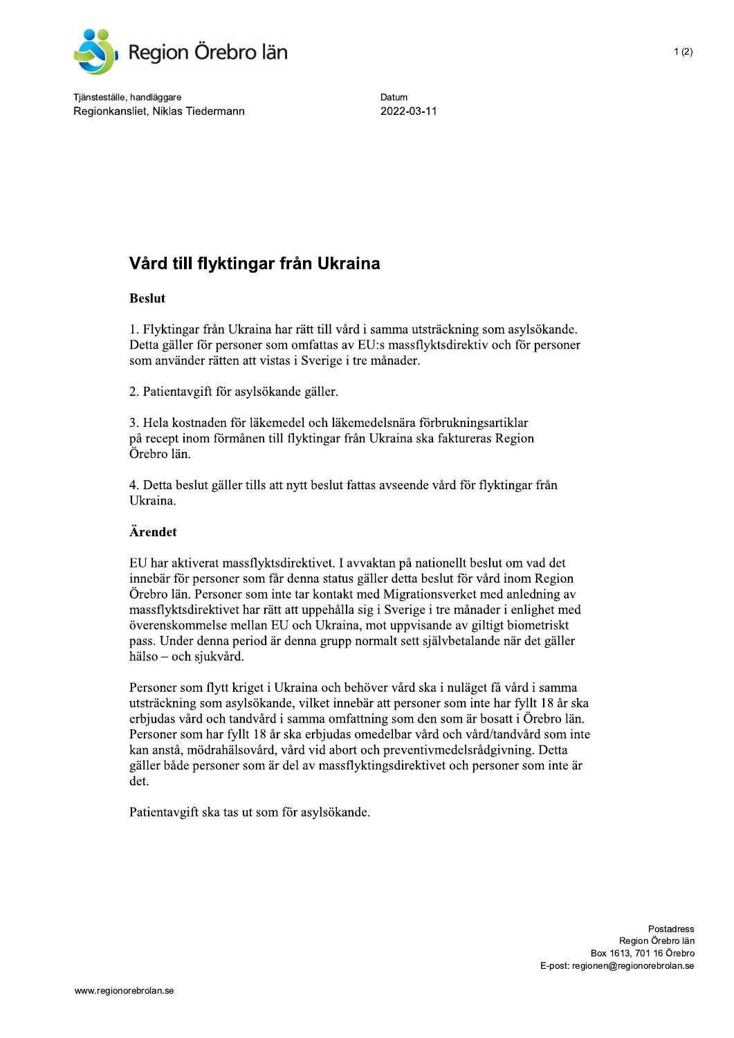

Tjänsteställe, handläggare Regionkansliet, Niklas Tiedermann

Datum 2022-03-11

## Vård till flyktingar från Ukraina

## **Beslut**

1. Flyktingar från Ukraina har rätt till vård i samma utsträckning som asylsökande. Detta gäller för personer som omfattas av EU:s massflyktsdirektiv och för personer som använder rätten att vistas i Sverige i tre månader.

2. Patientavgift för asylsökande gäller.

3. Hela kostnaden för läkemedel och läkemedelsnära förbrukningsartiklar på recept inom förmånen till flyktingar från Ukraina ska faktureras Region Örebro län.

4. Detta beslut gäller tills att nytt beslut fattas avseende vård för flyktingar från Ukraina.

## Ärendet

EU har aktiverat massflyktsdirektivet. I avvaktan på nationellt beslut om vad det innebär för personer som får denna status gäller detta beslut för vård inom Region Örebro län. Personer som inte tar kontakt med Migrationsverket med anledning av massflyktsdirektivet har rätt att uppehålla sig i Sverige i tre månader i enlighet med överenskommelse mellan EU och Ukraina, mot uppvisande av giltigt biometriskt pass. Under denna period är denna grupp normalt sett självbetalande när det gäller hälso – och sjukvård.

Personer som flytt kriget i Ukraina och behöver vård ska i nuläget få vård i samma utsträckning som asylsökande, vilket innebär att personer som inte har fyllt 18 år ska erbjudas vård och tandvård i samma omfattning som den som är bosatt i Örebro län. Personer som har fyllt 18 år ska erbjudas omedelbar vård och vård/tandvård som inte kan anstå, mödrahälsovård, vård vid abort och preventivmedelsrådgivning. Detta gäller både personer som är del av massflyktingsdirektivet och personer som inte är det.

Patientavgift ska tas ut som för asylsökande.